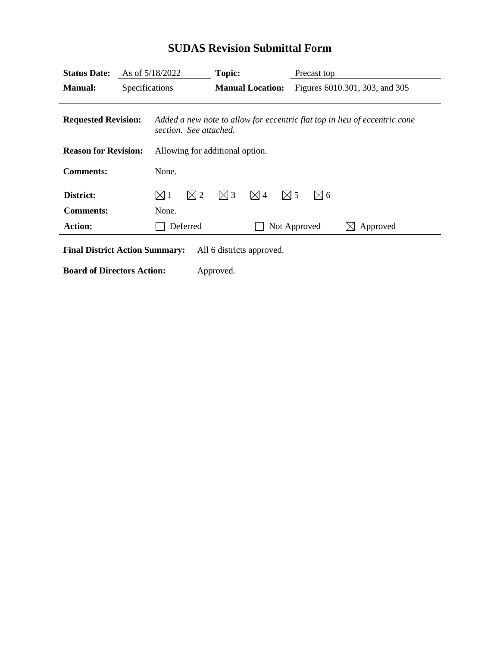| <b>Status Date:</b>              | As of 5/18/2022 |                                                                                                      | Topic:<br><b>Manual Location:</b> |               |               | Precast top<br>Figures 6010.301, 303, and 305 |               |          |
|----------------------------------|-----------------|------------------------------------------------------------------------------------------------------|-----------------------------------|---------------|---------------|-----------------------------------------------|---------------|----------|
| <b>Manual:</b><br>Specifications |                 |                                                                                                      |                                   |               |               |                                               |               |          |
| <b>Requested Revision:</b>       |                 | Added a new note to allow for eccentric flat top in lieu of eccentric cone<br>section. See attached. |                                   |               |               |                                               |               |          |
| <b>Reason for Revision:</b>      |                 | Allowing for additional option.                                                                      |                                   |               |               |                                               |               |          |
| <b>Comments:</b>                 |                 | None.                                                                                                |                                   |               |               |                                               |               |          |
| District:                        |                 | $\boxtimes$ 1                                                                                        | $\boxtimes$ 2                     | $\boxtimes$ 3 | $\boxtimes$ 4 | $\boxtimes$ 5                                 | $\boxtimes$ 6 |          |
| <b>Comments:</b>                 |                 | None.                                                                                                |                                   |               |               |                                               |               |          |
| <b>Action:</b>                   |                 | Deferred                                                                                             |                                   |               | Not Approved  |                                               |               | Approved |

## **SUDAS Revision Submittal Form**